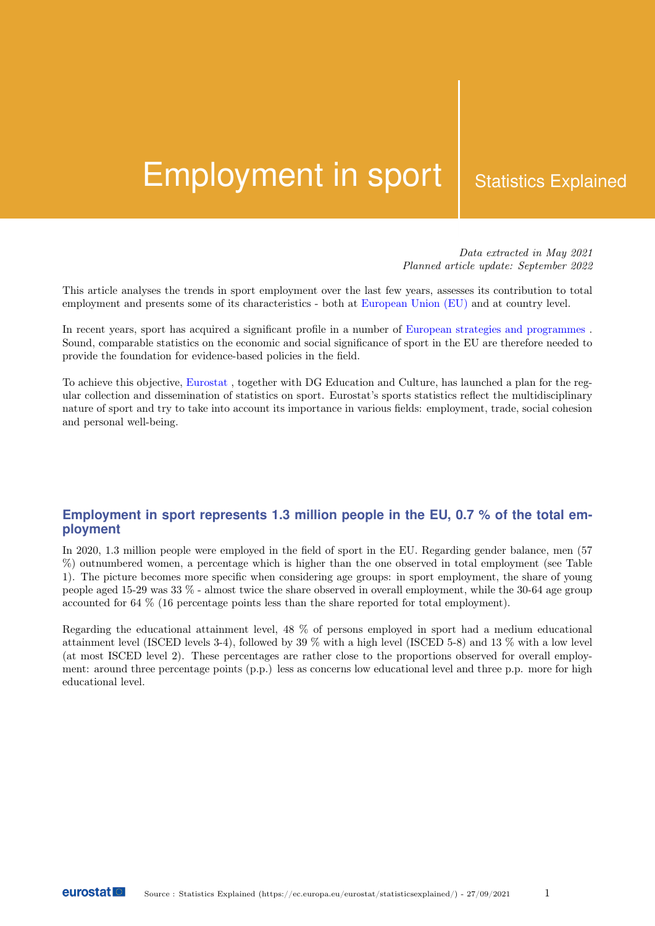# Employment in sport | Statistics Explained

Data extracted in May 2021 Planned article update: September 2022

This article analyses the trends in sport employment over the last few years, assesses its contribution to total employment and presents some of its characteristics - both at European Union (EU) and at country level.

In recent years, sport has acquired a significant profile in a number of European strategies and programmes . Sound, comparable statistics on the economic and social significance of sport in the EU are therefore needed to provide the foundation for evidence-based policies in the field.

To achieve this objective, Eurostat , together with DG Education and Culture, has launched a plan for the regular collection and dissemination of statistics on sport. Eurostat's sports statistics reflect the multidisciplinary nature of sport and try to take into account its importance in various fields: employment, trade, social cohesion and personal well-being.

# **Employment in sport represents 1.3 million people in the EU, 0.7 % of the total employment**

In 2020, 1.3 million people were employed in the field of sport in the EU. Regarding gender balance, men (57 %) outnumbered women, a percentage which is higher than the one observed in total employment (see Table 1). The picture becomes more specific when considering age groups: in sport employment, the share of young people aged 15-29 was 33 % - almost twice the share observed in overall employment, while the 30-64 age group accounted for 64 % (16 percentage points less than the share reported for total employment).

Regarding the educational attainment level, 48 % of persons employed in sport had a medium educational attainment level (ISCED levels 3-4), followed by 39 % with a high level (ISCED 5-8) and 13 % with a low level (at most ISCED level 2). These percentages are rather close to the proportions observed for overall employment: around three percentage points (p.p.) less as concerns low educational level and three p.p. more for high educational level.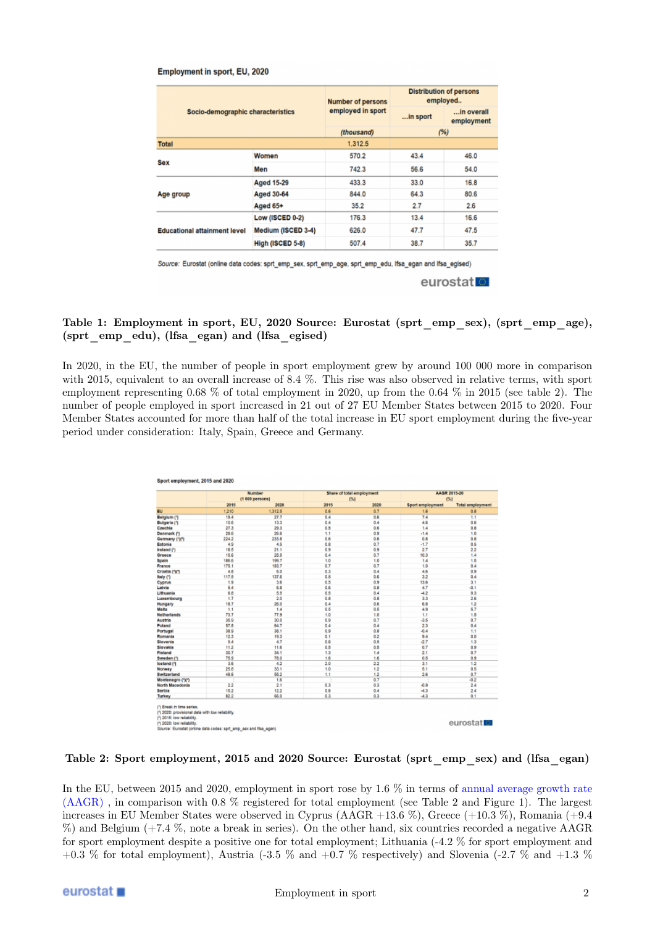#### Employment in sport, EU, 2020

|                                     |                    | <b>Number of persons</b> | <b>Distribution of persons</b><br>employed |                          |
|-------------------------------------|--------------------|--------------------------|--------------------------------------------|--------------------------|
| Socio-demographic characteristics   |                    | employed in sport        | in sport                                   | in overall<br>employment |
|                                     |                    | (thousand)               | (96)                                       |                          |
| <b>Total</b>                        |                    | 1,312.5                  |                                            |                          |
| Sex                                 | Women              | 570.2                    | 43.4                                       | 46.0                     |
|                                     | Men                | 742.3                    | 56.6                                       | 54.0                     |
| Age group                           | <b>Aged 15-29</b>  | 433.3                    | 33.0                                       | 16.8                     |
|                                     | <b>Aged 30-64</b>  | 844.0                    | 64.3                                       | 80.6                     |
|                                     | Aged 65+           | 35.2                     | 2.7                                        | 2.6                      |
| <b>Educational attainment level</b> | Low (ISCED 0-2)    | 176.3                    | 13.4                                       | 16.6                     |
|                                     | Medium (ISCED 3-4) | 626.0                    | 47.7                                       | 47.5                     |
|                                     | High (ISCED 5-8)   | 507.4                    | 38.7                                       | 35.7                     |

Eurostat (online data codes: sprt\_emp\_sex, sprt\_emp\_age, sprt\_emp\_edu, lfsa\_egan and lfsa\_egised) eurostat<sup>o</sup>

#### Table 1: Employment in sport, EU, 2020 Source: Eurostat (sprt\_emp\_sex), (sprt\_emp\_age), (sprt\_emp\_edu), (lfsa\_egan) and (lfsa\_egised)

In 2020, in the EU, the number of people in sport employment grew by around 100 000 more in comparison with 2015, equivalent to an overall increase of 8.4 %. This rise was also observed in relative terms, with sport employment representing 0.68 % of total employment in 2020, up from the 0.64 % in 2015 (see table 2). The number of people employed in sport increased in 21 out of 27 EU Member States between 2015 to 2020. Four Member States accounted for more than half of the total increase in EU sport employment during the five-year period under consideration: Italy, Spain, Greece and Germany.

|                     | Number<br>$(1000$ persons) |         |      | Share of total employment |                         | AAGR 2015-20            |  |
|---------------------|----------------------------|---------|------|---------------------------|-------------------------|-------------------------|--|
|                     |                            |         | (54) |                           | (54)                    |                         |  |
|                     | 2015                       | 2020    | 2015 | 2020                      | <b>Sport employment</b> | <b>Total employment</b> |  |
| <b>EU</b>           | 1,210                      | 1,312.5 | 0.6  | 0.7                       | 1.6                     | 0.8                     |  |
| Belgium (1)         | 19.4                       | 27.7    | 0.4  | 0.6                       | 7.4                     | 1.1                     |  |
| <b>Bulgaria</b> (1) | 10.6                       | 13.3    | 0.4  | 0.4                       | 4.6                     | 0.6                     |  |
| Czechia             | 27.3                       | 29.3    | 0.5  | 0.6                       | 1.4                     | ů.8                     |  |
| Denmark (*)         | 28.6                       | 26.6    | 1.1  | 0.9                       | $-1.4$                  | 1.0                     |  |
| Germany (1)(1)      | 224.2                      | 233.8   | 0.6  | 0.6                       | 0.8                     | 0.8                     |  |
| Estonia             | 49                         | 4.5     | 0.8  | 0.7                       | $-1.7$                  | 0.5                     |  |
| <b>Ireland (1)</b>  | 18.5                       | 21.1    | 0.9  | 0.9                       | 27                      | 2.2                     |  |
| Greece              | 15.6                       | 26.6    | 0.4  | 0.7                       | 10.3                    | 1.4                     |  |
| Spain               | 186.6                      | 199.7   | 1.0  | 1.0                       | 1.4                     | 1.5                     |  |
| France              | 175.1                      | 183.7   | 0.7  | 0.7                       | 1.0                     | 0.4                     |  |
| Croatia (")(")      | 4.8                        | 6.0     | 0.3  | 0.4                       | 4.6                     | 0.9                     |  |
| <b>Italy (*)</b>    | 117.5                      | 137.6   | 0.5  | 0.6                       | 3.2                     | 0.4                     |  |
| Cyprus              | 1.9                        | 3.6     | 0.5  | 0.9                       | 13.6                    | 3.1                     |  |
| Latvia              | 5.4                        | 6.8     | 0.6  | 0.8                       | 4.7                     | $-0.1$                  |  |
| Lithuania           | 6.8                        | 5.5     | 0.5  | 0.4                       | $-42$                   | 0.3                     |  |
| Luxembourg          | 1.7                        | 20      | 0.B  | 0.8                       | 33                      | 28                      |  |
| Hungary             | 18.7                       | 26.0    | 0.4  | 0.6                       | 6.8                     | 1.2                     |  |
| Malta               | 1.1                        | 1.4     | 0.5  | 0.5                       | 4.9                     | 6.7                     |  |
| <b>Netherlands</b>  | 73.7                       | 77.9    | 1.0  | 1.0                       | 1.1                     | 1.5                     |  |
| Austria             | 35.9                       | 300     | 0.9  | 0.7                       | $-3.5$                  | 0.7                     |  |
| Poland              | 57.B                       | 64.7    | 0.4  | 0.4                       | 23                      | 0.4                     |  |
| Portugal            | 38.9                       | 38.1    | 0.9  | 0.8                       | $-0.4$                  | 1.1                     |  |
| Romania             | 12.3                       | 19.3    | 0.1  | 0.2                       | 9.4                     | 0.0                     |  |
| Slovenia            | 5.4                        | 4.7     | 0.6  | 0.5                       | $-2.7$                  | 1.3                     |  |
| Slovakia            | 11.2                       | 11.6    | 0.5  | 0.5                       | 0.7                     | 0.9                     |  |
| Finland             | 30.7                       | 34.1    | 1.3  | 1.4                       | 2.1                     | 0.7                     |  |
| Sweden (*)          | 759                        | 78.0    | 1.6  | 1.6                       | 0.5                     | 0.9                     |  |
| loeland (1)         | 3.6                        | 42      | 20   | 22                        | 3.1                     | 1.2                     |  |
| Norway              | 26.8                       | 33.1    | 1.0  | 1.2                       | 6.1                     | 0.5                     |  |
| Switzerland         | 48.6                       | 55.2    | 1.1  | 1.2                       | 26                      | 0.7                     |  |
| Montenegro ("X")    |                            | 1.6     |      | 0.7                       |                         | $-0.2$                  |  |
| North Macedonia     | 2.2                        | 2.1     | 0.3  | 0.3                       | $-0.9$                  | 2.4                     |  |
| Serbia              | 15.2                       | 12.2    | 0.6  | 0.4                       | $-4.3$                  | 2.4                     |  |
| Turkey              | 82.2                       | 66.0    | 0.3  | 0.3                       | $-4.3$                  | 0.1                     |  |
|                     |                            |         |      |                           |                         |                         |  |

Table 2: Sport employment, 2015 and 2020 Source: Eurostat (sprt\_emp\_sex) and (lfsa\_egan)

In the EU, between 2015 and 2020, employment in sport rose by 1.6 % in terms of annual average growth rate (AAGR) , in comparison with 0.8 % registered for total employment (see Table 2 and Figure 1). The largest increases in EU Member States were observed in Cyprus  $(AAGR +13.6\%)$ , Greece  $(+10.3\%)$ , Romania  $(+9.4\%)$ %) and Belgium (+7.4 %, note a break in series). On the other hand, six countries recorded a negative AAGR for sport employment despite a positive one for total employment; Lithuania (-4.2 % for sport employment and +0.3 % for total employment), Austria (-3.5 % and +0.7 % respectively) and Slovenia (-2.7 % and +1.3 %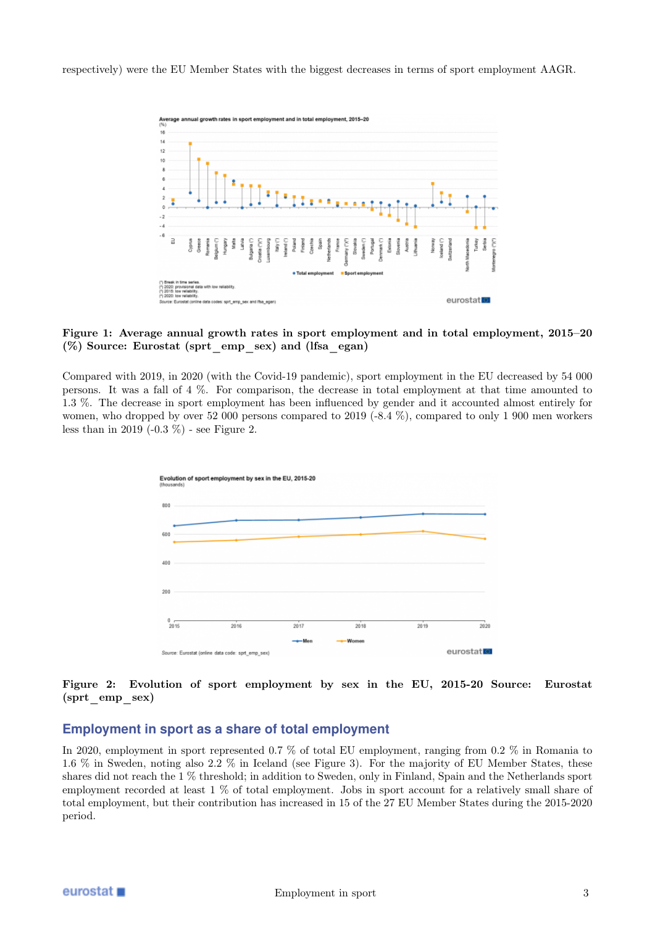respectively) were the EU Member States with the biggest decreases in terms of sport employment AAGR.



#### Figure 1: Average annual growth rates in sport employment and in total employment, 2015–20 (%) Source: Eurostat (sprt\_emp\_sex) and (lfsa\_egan)

Compared with 2019, in 2020 (with the Covid-19 pandemic), sport employment in the EU decreased by 54 000 persons. It was a fall of 4 %. For comparison, the decrease in total employment at that time amounted to 1.3 %. The decrease in sport employment has been influenced by gender and it accounted almost entirely for women, who dropped by over 52 000 persons compared to 2019 (-8.4 %), compared to only 1 900 men workers less than in 2019 (-0.3 %) - see Figure 2.



#### Figure 2: Evolution of sport employment by sex in the EU, 2015-20 Source: Eurostat (sprt\_emp\_sex)

# **Employment in sport as a share of total employment**

In 2020, employment in sport represented 0.7 % of total EU employment, ranging from 0.2 % in Romania to 1.6 % in Sweden, noting also 2.2 % in Iceland (see Figure 3). For the majority of EU Member States, these shares did not reach the 1 % threshold; in addition to Sweden, only in Finland, Spain and the Netherlands sport employment recorded at least 1 % of total employment. Jobs in sport account for a relatively small share of total employment, but their contribution has increased in 15 of the 27 EU Member States during the 2015-2020 period.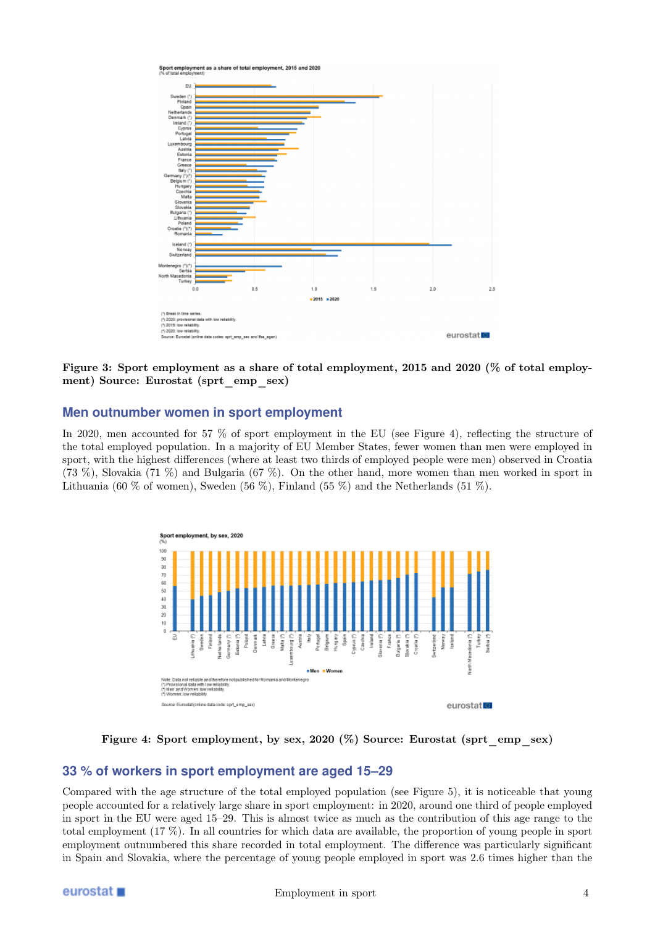

Figure 3: Sport employment as a share of total employment, 2015 and 2020 (% of total employment) Source: Eurostat (sprt\_emp\_sex)

# **Men outnumber women in sport employment**

In 2020, men accounted for 57 % of sport employment in the EU (see Figure 4), reflecting the structure of the total employed population. In a majority of EU Member States, fewer women than men were employed in sport, with the highest differences (where at least two thirds of employed people were men) observed in Croatia (73 %), Slovakia (71 %) and Bulgaria (67 %). On the other hand, more women than men worked in sport in Lithuania (60 % of women), Sweden (56 %), Finland (55 %) and the Netherlands (51 %).



Figure 4: Sport employment, by sex, 2020 (%) Source: Eurostat (sprt\_emp\_sex)

# **33 % of workers in sport employment are aged 15–29**

Compared with the age structure of the total employed population (see Figure 5), it is noticeable that young people accounted for a relatively large share in sport employment: in 2020, around one third of people employed in sport in the EU were aged 15–29. This is almost twice as much as the contribution of this age range to the total employment (17 %). In all countries for which data are available, the proportion of young people in sport employment outnumbered this share recorded in total employment. The difference was particularly significant in Spain and Slovakia, where the percentage of young people employed in sport was 2.6 times higher than the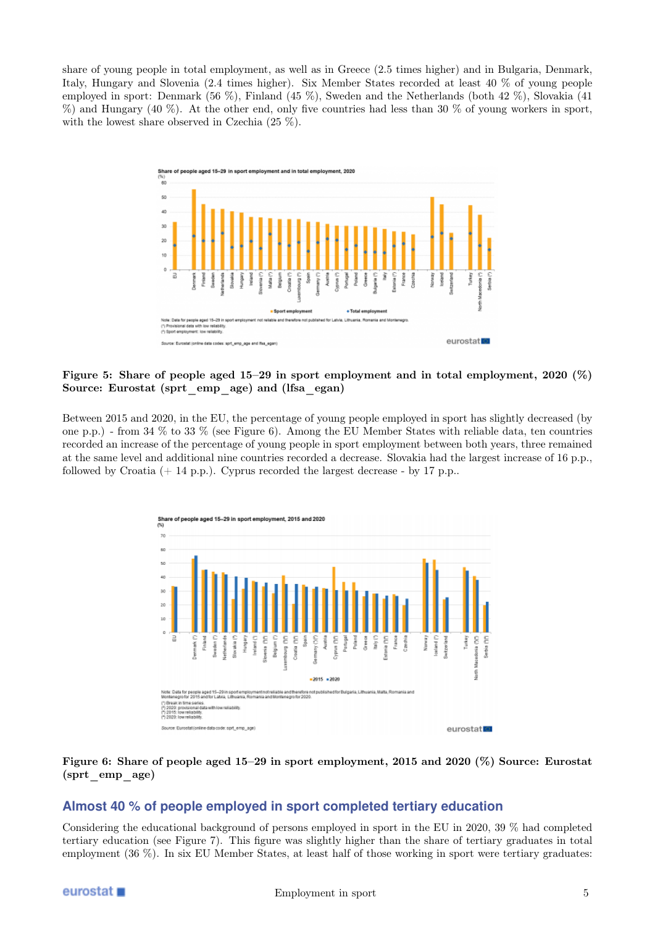share of young people in total employment, as well as in Greece (2.5 times higher) and in Bulgaria, Denmark, Italy, Hungary and Slovenia (2.4 times higher). Six Member States recorded at least 40 % of young people employed in sport: Denmark (56 %), Finland (45 %), Sweden and the Netherlands (both 42 %), Slovakia (41 %) and Hungary (40 %). At the other end, only five countries had less than 30 % of young workers in sport, with the lowest share observed in Czechia (25 %).



Figure 5: Share of people aged 15–29 in sport employment and in total employment, 2020 (%) Source: Eurostat (sprt\_emp\_age) and (lfsa\_egan)

Between 2015 and 2020, in the EU, the percentage of young people employed in sport has slightly decreased (by one p.p.) - from 34 % to 33 % (see Figure 6). Among the EU Member States with reliable data, ten countries recorded an increase of the percentage of young people in sport employment between both years, three remained at the same level and additional nine countries recorded a decrease. Slovakia had the largest increase of 16 p.p., followed by Croatia  $(+ 14 \text{ p.p.})$ . Cyprus recorded the largest decrease - by 17 p.p..



#### Figure 6: Share of people aged 15–29 in sport employment, 2015 and 2020 (%) Source: Eurostat (sprt\_emp\_age)

## **Almost 40 % of people employed in sport completed tertiary education**

Considering the educational background of persons employed in sport in the EU in 2020, 39 % had completed tertiary education (see Figure 7). This figure was slightly higher than the share of tertiary graduates in total employment (36 %). In six EU Member States, at least half of those working in sport were tertiary graduates: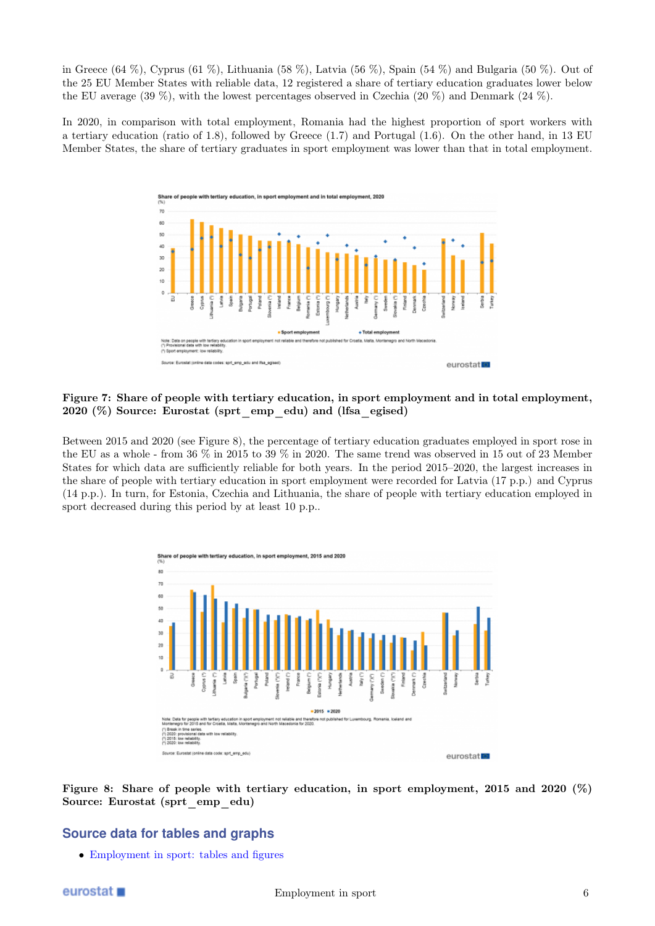in Greece (64 %), Cyprus (61 %), Lithuania (58 %), Latvia (56 %), Spain (54 %) and Bulgaria (50 %). Out of the 25 EU Member States with reliable data, 12 registered a share of tertiary education graduates lower below the EU average (39 %), with the lowest percentages observed in Czechia (20 %) and Denmark (24 %).

In 2020, in comparison with total employment, Romania had the highest proportion of sport workers with a tertiary education (ratio of 1.8), followed by Greece (1.7) and Portugal (1.6). On the other hand, in 13 EU Member States, the share of tertiary graduates in sport employment was lower than that in total employment.



Figure 7: Share of people with tertiary education, in sport employment and in total employment, 2020 (%) Source: Eurostat (sprt\_emp\_edu) and (lfsa\_egised)

Between 2015 and 2020 (see Figure 8), the percentage of tertiary education graduates employed in sport rose in the EU as a whole - from 36 % in 2015 to 39 % in 2020. The same trend was observed in 15 out of 23 Member States for which data are sufficiently reliable for both years. In the period 2015–2020, the largest increases in the share of people with tertiary education in sport employment were recorded for Latvia (17 p.p.) and Cyprus (14 p.p.). In turn, for Estonia, Czechia and Lithuania, the share of people with tertiary education employed in sport decreased during this period by at least 10 p.p..



Figure 8: Share of people with tertiary education, in sport employment, 2015 and 2020 (%) Source: Eurostat (sprt\_emp\_edu)

# **Source data for tables and graphs**

• Employment in sport: tables and figures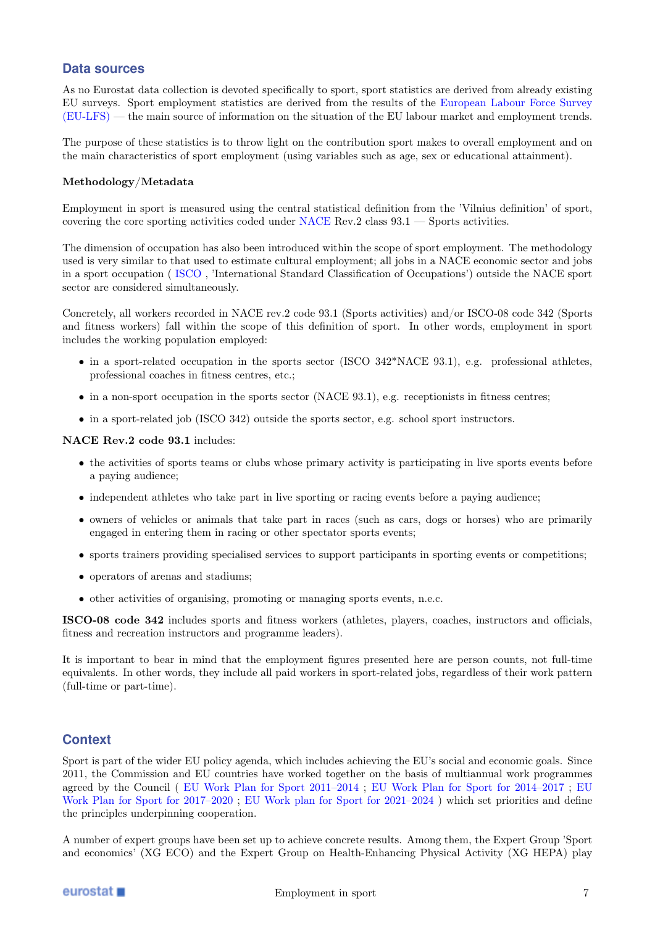# **Data sources**

As no Eurostat data collection is devoted specifically to sport, sport statistics are derived from already existing EU surveys. Sport employment statistics are derived from the results of the European Labour Force Survey (EU-LFS) — the main source of information on the situation of the EU labour market and employment trends.

The purpose of these statistics is to throw light on the contribution sport makes to overall employment and on the main characteristics of sport employment (using variables such as age, sex or educational attainment).

#### Methodology/Metadata

Employment in sport is measured using the central statistical definition from the 'Vilnius definition' of sport, covering the core sporting activities coded under NACE Rev.2 class 93.1 — Sports activities.

The dimension of occupation has also been introduced within the scope of sport employment. The methodology used is very similar to that used to estimate cultural employment; all jobs in a NACE economic sector and jobs in a sport occupation ( ISCO , 'International Standard Classification of Occupations') outside the NACE sport sector are considered simultaneously.

Concretely, all workers recorded in NACE rev.2 code 93.1 (Sports activities) and/or ISCO-08 code 342 (Sports and fitness workers) fall within the scope of this definition of sport. In other words, employment in sport includes the working population employed:

- in a sport-related occupation in the sports sector (ISCO 342\*NACE 93.1), e.g. professional athletes, professional coaches in fitness centres, etc.;
- in a non-sport occupation in the sports sector (NACE 93.1), e.g. receptionists in fitness centres;
- in a sport-related job (ISCO 342) outside the sports sector, e.g. school sport instructors.

#### NACE Rev.2 code 93.1 includes:

- the activities of sports teams or clubs whose primary activity is participating in live sports events before a paying audience;
- independent athletes who take part in live sporting or racing events before a paying audience;
- owners of vehicles or animals that take part in races (such as cars, dogs or horses) who are primarily engaged in entering them in racing or other spectator sports events;
- sports trainers providing specialised services to support participants in sporting events or competitions;
- operators of arenas and stadiums;
- other activities of organising, promoting or managing sports events, n.e.c.

ISCO-08 code 342 includes sports and fitness workers (athletes, players, coaches, instructors and officials, fitness and recreation instructors and programme leaders).

It is important to bear in mind that the employment figures presented here are person counts, not full-time equivalents. In other words, they include all paid workers in sport-related jobs, regardless of their work pattern (full-time or part-time).

## **Context**

Sport is part of the wider EU policy agenda, which includes achieving the EU's social and economic goals. Since 2011, the Commission and EU countries have worked together on the basis of multiannual work programmes agreed by the Council ( EU Work Plan for Sport 2011–2014 ; EU Work Plan for Sport for 2014–2017 ; EU Work Plan for Sport for 2017–2020 ; EU Work plan for Sport for 2021–2024 ) which set priorities and define the principles underpinning cooperation.

A number of expert groups have been set up to achieve concrete results. Among them, the Expert Group 'Sport and economics' (XG ECO) and the Expert Group on Health-Enhancing Physical Activity (XG HEPA) play